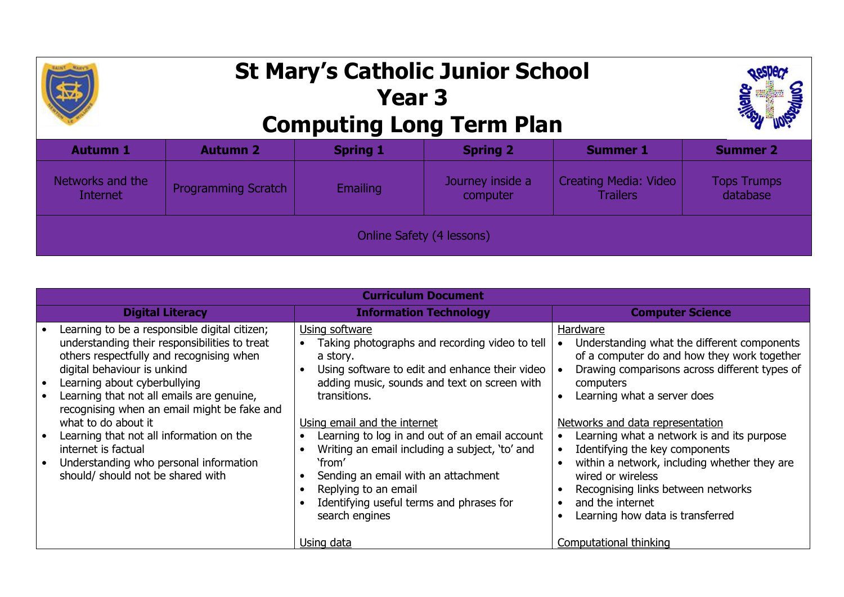

## **St Mary's Catholic Junior School Year 3 Computing Long Term Plan**



| <b>Autumn 1</b>              | <b>Autumn 2</b>            | <b>Spring 1</b> | <b>Spring 2</b>              | <b>Summer 1</b>                                 | <b>Summer 2</b>                |  |  |
|------------------------------|----------------------------|-----------------|------------------------------|-------------------------------------------------|--------------------------------|--|--|
| Networks and the<br>Internet | <b>Programming Scratch</b> | <b>Emailing</b> | Journey inside a<br>computer | <b>Creating Media: Video</b><br><b>Trailers</b> | <b>Tops Trumps</b><br>database |  |  |
| Online Safety (4 lessons)    |                            |                 |                              |                                                 |                                |  |  |

| <b>Curriculum Document</b>                                                                                                                                                                                                                                                                                                                                                                                                                                                     |                                                                                                                                                                                                                                                                                                                                                                                                                                                                           |                                                                                                                                                                                                                                                                                                                                                                                                                                                                                            |  |  |  |  |  |
|--------------------------------------------------------------------------------------------------------------------------------------------------------------------------------------------------------------------------------------------------------------------------------------------------------------------------------------------------------------------------------------------------------------------------------------------------------------------------------|---------------------------------------------------------------------------------------------------------------------------------------------------------------------------------------------------------------------------------------------------------------------------------------------------------------------------------------------------------------------------------------------------------------------------------------------------------------------------|--------------------------------------------------------------------------------------------------------------------------------------------------------------------------------------------------------------------------------------------------------------------------------------------------------------------------------------------------------------------------------------------------------------------------------------------------------------------------------------------|--|--|--|--|--|
| <b>Digital Literacy</b>                                                                                                                                                                                                                                                                                                                                                                                                                                                        | <b>Information Technology</b>                                                                                                                                                                                                                                                                                                                                                                                                                                             | <b>Computer Science</b>                                                                                                                                                                                                                                                                                                                                                                                                                                                                    |  |  |  |  |  |
| Learning to be a responsible digital citizen;<br>understanding their responsibilities to treat<br>others respectfully and recognising when<br>digital behaviour is unkind<br>Learning about cyberbullying<br>Learning that not all emails are genuine,<br>recognising when an email might be fake and<br>what to do about it<br>Learning that not all information on the<br>internet is factual<br>Understanding who personal information<br>should/ should not be shared with | Using software<br>Taking photographs and recording video to tell<br>a story.<br>Using software to edit and enhance their video<br>adding music, sounds and text on screen with<br>transitions.<br>Using email and the internet<br>Learning to log in and out of an email account<br>Writing an email including a subject, 'to' and<br>'from'<br>Sending an email with an attachment<br>Replying to an email<br>Identifying useful terms and phrases for<br>search engines | Hardware<br>Understanding what the different components<br>of a computer do and how they work together<br>Drawing comparisons across different types of<br>computers<br>Learning what a server does<br>Networks and data representation<br>Learning what a network is and its purpose<br>Identifying the key components<br>within a network, including whether they are<br>wired or wireless<br>Recognising links between networks<br>and the internet<br>Learning how data is transferred |  |  |  |  |  |
|                                                                                                                                                                                                                                                                                                                                                                                                                                                                                | Using data                                                                                                                                                                                                                                                                                                                                                                                                                                                                | Computational thinking                                                                                                                                                                                                                                                                                                                                                                                                                                                                     |  |  |  |  |  |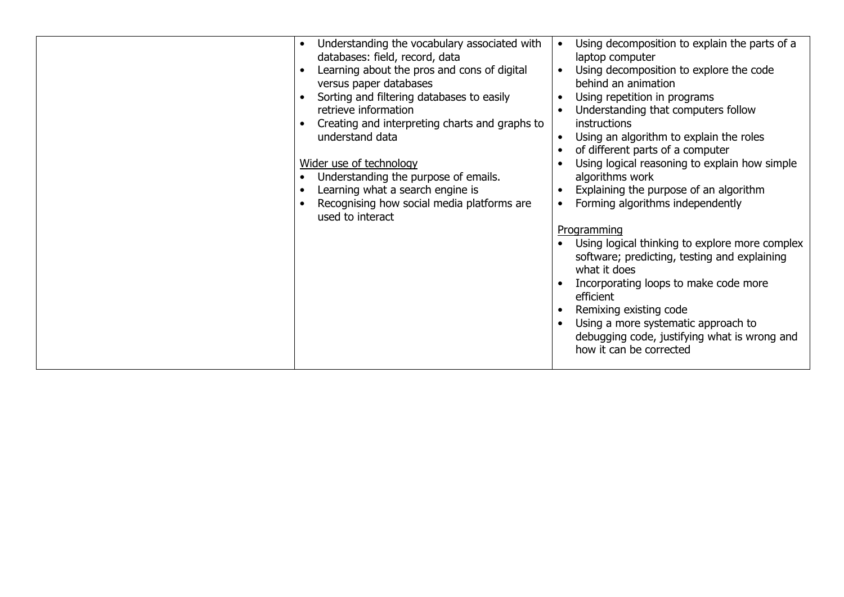| Understanding the vocabulary associated with<br>$\bullet$<br>databases: field, record, data<br>Learning about the pros and cons of digital<br>versus paper databases<br>Sorting and filtering databases to easily<br>retrieve information<br>Creating and interpreting charts and graphs to<br>understand data<br>Wider use of technology<br>Understanding the purpose of emails.<br>Learning what a search engine is<br>Recognising how social media platforms are<br>used to interact | Using decomposition to explain the parts of a<br>$\bullet$<br>laptop computer<br>Using decomposition to explore the code<br>behind an animation<br>Using repetition in programs<br>$\bullet$<br>Understanding that computers follow<br>$\bullet$<br>instructions<br>Using an algorithm to explain the roles<br>$\bullet$<br>of different parts of a computer<br>Using logical reasoning to explain how simple<br>algorithms work<br>Explaining the purpose of an algorithm<br>Forming algorithms independently<br>Programming<br>Using logical thinking to explore more complex<br>software; predicting, testing and explaining<br>what it does<br>Incorporating loops to make code more<br>efficient<br>Remixing existing code<br>Using a more systematic approach to<br>$\bullet$<br>debugging code, justifying what is wrong and<br>how it can be corrected |
|-----------------------------------------------------------------------------------------------------------------------------------------------------------------------------------------------------------------------------------------------------------------------------------------------------------------------------------------------------------------------------------------------------------------------------------------------------------------------------------------|----------------------------------------------------------------------------------------------------------------------------------------------------------------------------------------------------------------------------------------------------------------------------------------------------------------------------------------------------------------------------------------------------------------------------------------------------------------------------------------------------------------------------------------------------------------------------------------------------------------------------------------------------------------------------------------------------------------------------------------------------------------------------------------------------------------------------------------------------------------|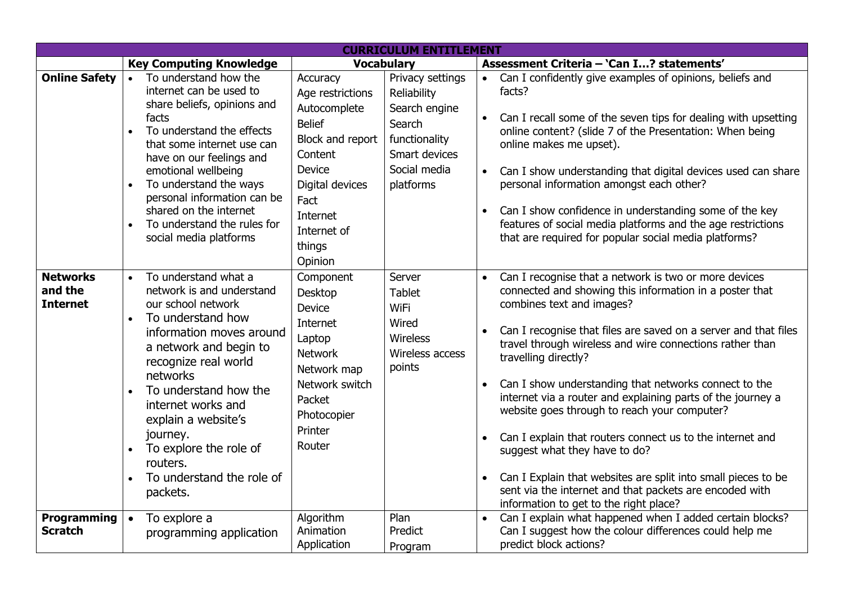| <b>CURRICULUM ENTITLEMENT</b>                 |                                                                                                                                                                                                                                                                                                                                                                                                |                                                                                                                                                                                          |                                                                                                                           |                                                               |                                                                                                                                                                                                                                                                                                                                                                                                                                                                                                                                                                                                                                                                                                                                                  |  |
|-----------------------------------------------|------------------------------------------------------------------------------------------------------------------------------------------------------------------------------------------------------------------------------------------------------------------------------------------------------------------------------------------------------------------------------------------------|------------------------------------------------------------------------------------------------------------------------------------------------------------------------------------------|---------------------------------------------------------------------------------------------------------------------------|---------------------------------------------------------------|--------------------------------------------------------------------------------------------------------------------------------------------------------------------------------------------------------------------------------------------------------------------------------------------------------------------------------------------------------------------------------------------------------------------------------------------------------------------------------------------------------------------------------------------------------------------------------------------------------------------------------------------------------------------------------------------------------------------------------------------------|--|
|                                               | <b>Key Computing Knowledge</b>                                                                                                                                                                                                                                                                                                                                                                 | <b>Vocabulary</b>                                                                                                                                                                        |                                                                                                                           | Assessment Criteria - 'Can I? statements'                     |                                                                                                                                                                                                                                                                                                                                                                                                                                                                                                                                                                                                                                                                                                                                                  |  |
| <b>Online Safety</b>                          | To understand how the<br>$\bullet$<br>internet can be used to<br>share beliefs, opinions and<br>facts<br>To understand the effects<br>that some internet use can<br>have on our feelings and<br>emotional wellbeing<br>To understand the ways<br>$\bullet$<br>personal information can be<br>shared on the internet<br>To understand the rules for<br>social media platforms                   | Accuracy<br>Age restrictions<br>Autocomplete<br><b>Belief</b><br>Block and report<br>Content<br><b>Device</b><br>Digital devices<br>Fact<br>Internet<br>Internet of<br>things<br>Opinion | Privacy settings<br>Reliability<br>Search engine<br>Search<br>functionality<br>Smart devices<br>Social media<br>platforms | $\bullet$<br>$\bullet$<br>$\bullet$<br>$\bullet$              | Can I confidently give examples of opinions, beliefs and<br>facts?<br>Can I recall some of the seven tips for dealing with upsetting<br>online content? (slide 7 of the Presentation: When being<br>online makes me upset).<br>Can I show understanding that digital devices used can share<br>personal information amongst each other?<br>Can I show confidence in understanding some of the key<br>features of social media platforms and the age restrictions<br>that are required for popular social media platforms?                                                                                                                                                                                                                        |  |
| <b>Networks</b><br>and the<br><b>Internet</b> | To understand what a<br>$\bullet$<br>network is and understand<br>our school network<br>To understand how<br>$\bullet$<br>information moves around<br>a network and begin to<br>recognize real world<br>networks<br>To understand how the<br>$\bullet$<br>internet works and<br>explain a website's<br>journey.<br>To explore the role of<br>routers.<br>To understand the role of<br>packets. | Component<br>Desktop<br>Device<br>Internet<br>Laptop<br><b>Network</b><br>Network map<br>Network switch<br>Packet<br>Photocopier<br>Printer<br>Router                                    | Server<br><b>Tablet</b><br><b>WiFi</b><br>Wired<br><b>Wireless</b><br>Wireless access<br>points                           | $\bullet$<br>$\bullet$<br>$\bullet$<br>$\bullet$<br>$\bullet$ | Can I recognise that a network is two or more devices<br>connected and showing this information in a poster that<br>combines text and images?<br>Can I recognise that files are saved on a server and that files<br>travel through wireless and wire connections rather than<br>travelling directly?<br>Can I show understanding that networks connect to the<br>internet via a router and explaining parts of the journey a<br>website goes through to reach your computer?<br>Can I explain that routers connect us to the internet and<br>suggest what they have to do?<br>Can I Explain that websites are split into small pieces to be<br>sent via the internet and that packets are encoded with<br>information to get to the right place? |  |
| <b>Programming</b><br><b>Scratch</b>          | To explore a<br>$\bullet$<br>programming application                                                                                                                                                                                                                                                                                                                                           | Algorithm<br>Animation<br>Application                                                                                                                                                    | Plan<br>Predict<br>Program                                                                                                | $\bullet$                                                     | Can I explain what happened when I added certain blocks?<br>Can I suggest how the colour differences could help me<br>predict block actions?                                                                                                                                                                                                                                                                                                                                                                                                                                                                                                                                                                                                     |  |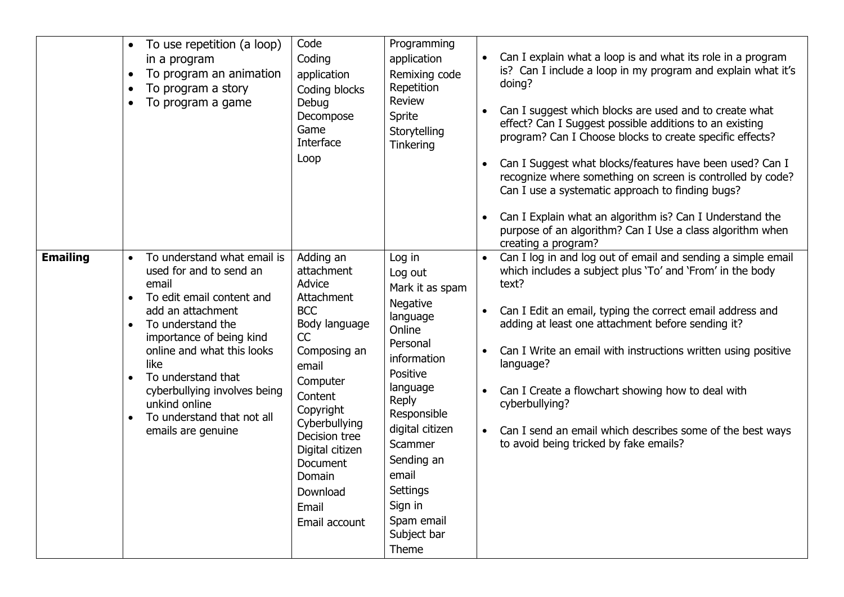|                 | To use repetition (a loop)<br>in a program<br>To program an animation<br>$\bullet$<br>To program a story<br>To program a game<br>$\bullet$                                                                                                                                                                                                                                 | Code<br>Coding<br>application<br>Coding blocks<br>Debug<br>Decompose<br>Game<br>Interface<br>Loop                                                                                                                                                                  | Programming<br>application<br>Remixing code<br>Repetition<br><b>Review</b><br>Sprite<br>Storytelling<br>Tinkering                                                                                                                                                   | $\bullet$                           | Can I explain what a loop is and what its role in a program<br>is? Can I include a loop in my program and explain what it's<br>doing?<br>Can I suggest which blocks are used and to create what<br>effect? Can I Suggest possible additions to an existing<br>program? Can I Choose blocks to create specific effects?<br>Can I Suggest what blocks/features have been used? Can I<br>recognize where something on screen is controlled by code?<br>Can I use a systematic approach to finding bugs?<br>Can I Explain what an algorithm is? Can I Understand the<br>purpose of an algorithm? Can I Use a class algorithm when<br>creating a program? |
|-----------------|----------------------------------------------------------------------------------------------------------------------------------------------------------------------------------------------------------------------------------------------------------------------------------------------------------------------------------------------------------------------------|--------------------------------------------------------------------------------------------------------------------------------------------------------------------------------------------------------------------------------------------------------------------|---------------------------------------------------------------------------------------------------------------------------------------------------------------------------------------------------------------------------------------------------------------------|-------------------------------------|------------------------------------------------------------------------------------------------------------------------------------------------------------------------------------------------------------------------------------------------------------------------------------------------------------------------------------------------------------------------------------------------------------------------------------------------------------------------------------------------------------------------------------------------------------------------------------------------------------------------------------------------------|
| <b>Emailing</b> | To understand what email is<br>$\bullet$<br>used for and to send an<br>email<br>To edit email content and<br>$\bullet$<br>add an attachment<br>To understand the<br>$\bullet$<br>importance of being kind<br>online and what this looks<br>like<br>To understand that<br>cyberbullying involves being<br>unkind online<br>To understand that not all<br>emails are genuine | Adding an<br>attachment<br>Advice<br>Attachment<br><b>BCC</b><br>Body language<br>CC<br>Composing an<br>email<br>Computer<br>Content<br>Copyright<br>Cyberbullying<br>Decision tree<br>Digital citizen<br>Document<br>Domain<br>Download<br>Email<br>Email account | Log in<br>Log out<br>Mark it as spam<br>Negative<br>language<br>Online<br>Personal<br>information<br>Positive<br>language<br>Reply<br>Responsible<br>digital citizen<br>Scammer<br>Sending an<br>email<br>Settings<br>Sign in<br>Spam email<br>Subject bar<br>Theme | $\bullet$<br>$\bullet$<br>$\bullet$ | Can I log in and log out of email and sending a simple email<br>which includes a subject plus 'To' and 'From' in the body<br>text?<br>Can I Edit an email, typing the correct email address and<br>adding at least one attachment before sending it?<br>Can I Write an email with instructions written using positive<br>language?<br>Can I Create a flowchart showing how to deal with<br>cyberbullying?<br>Can I send an email which describes some of the best ways<br>to avoid being tricked by fake emails?                                                                                                                                     |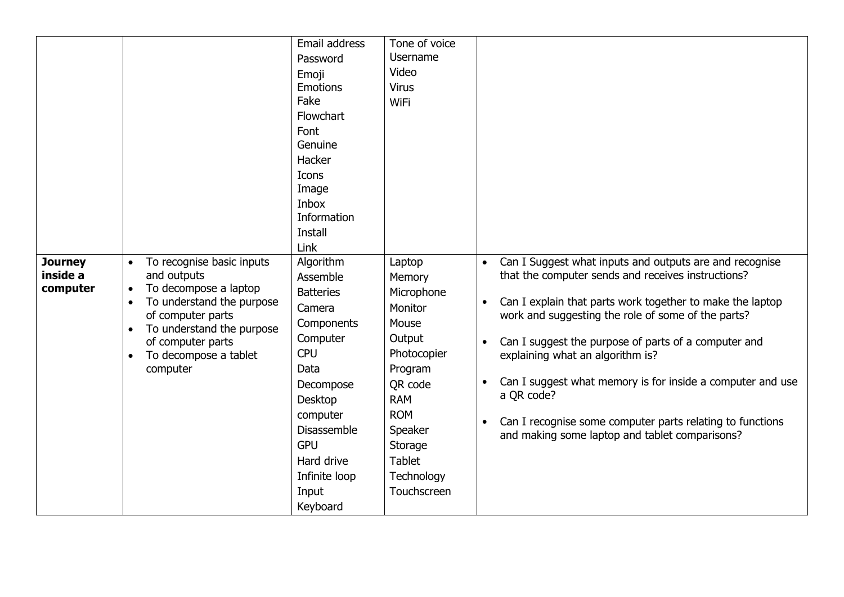|                                        |                                                                                                                                                                                                                                                                | Email address<br>Password<br>Emoji<br>Emotions<br>Fake<br>Flowchart<br>Font<br>Genuine<br>Hacker<br>Icons<br>Image<br>Inbox<br>Information<br><b>Install</b><br>Link                                                            | Tone of voice<br>Username<br>Video<br><b>Virus</b><br><b>WiFi</b>                                                                                                                                 |                                                                                                                                                                                                                                                                                                                                                                                                                                                                                                                                                                |
|----------------------------------------|----------------------------------------------------------------------------------------------------------------------------------------------------------------------------------------------------------------------------------------------------------------|---------------------------------------------------------------------------------------------------------------------------------------------------------------------------------------------------------------------------------|---------------------------------------------------------------------------------------------------------------------------------------------------------------------------------------------------|----------------------------------------------------------------------------------------------------------------------------------------------------------------------------------------------------------------------------------------------------------------------------------------------------------------------------------------------------------------------------------------------------------------------------------------------------------------------------------------------------------------------------------------------------------------|
| <b>Journey</b><br>inside a<br>computer | To recognise basic inputs<br>$\bullet$<br>and outputs<br>To decompose a laptop<br>$\bullet$<br>To understand the purpose<br>$\bullet$<br>of computer parts<br>To understand the purpose<br>of computer parts<br>To decompose a tablet<br>$\bullet$<br>computer | Algorithm<br>Assemble<br><b>Batteries</b><br>Camera<br>Components<br>Computer<br><b>CPU</b><br>Data<br>Decompose<br><b>Desktop</b><br>computer<br>Disassemble<br><b>GPU</b><br>Hard drive<br>Infinite loop<br>Input<br>Keyboard | Laptop<br>Memory<br>Microphone<br>Monitor<br>Mouse<br>Output<br>Photocopier<br>Program<br>QR code<br><b>RAM</b><br><b>ROM</b><br>Speaker<br>Storage<br><b>Tablet</b><br>Technology<br>Touchscreen | Can I Suggest what inputs and outputs are and recognise<br>$\bullet$<br>that the computer sends and receives instructions?<br>Can I explain that parts work together to make the laptop<br>$\bullet$<br>work and suggesting the role of some of the parts?<br>Can I suggest the purpose of parts of a computer and<br>$\bullet$<br>explaining what an algorithm is?<br>Can I suggest what memory is for inside a computer and use<br>a QR code?<br>Can I recognise some computer parts relating to functions<br>and making some laptop and tablet comparisons? |